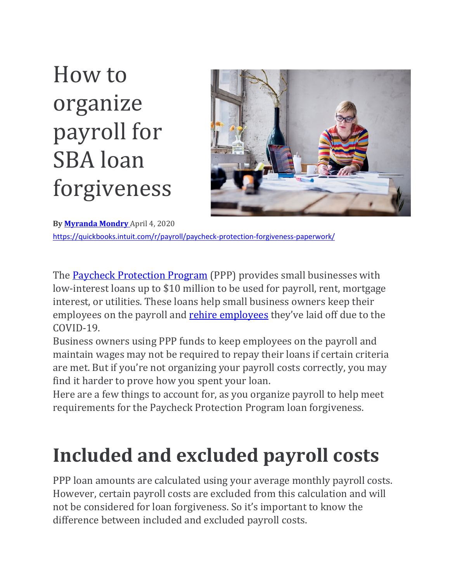# How to organize payroll for SBA loan forgiveness



**By [Myranda](https://quickbooks.intuit.com/r/author/myranda-mondry/) Mondry** April 4, 2020 <https://quickbooks.intuit.com/r/payroll/paycheck-protection-forgiveness-paperwork/>

The **Paycheck [Protection](https://quickbooks.intuit.com/r/payroll/what-is-paycheck-protection-program/) Program** (PPP) provides small businesses with low-interest loans up to \$10 million to be used for payroll, rent, mortgage interest, or utilities. These loans help small business owners keep their [employees](https://quickbooks.intuit.com/r/employee-management/how-to-rehire-employees/) on the payroll and rehire employees they've laid off due to the COVID-19.

Business owners using PPP funds to keep employees on the payroll and maintain wages may not be required to repay their loans if certain criteria are met. But if you're not organizing your payroll costs correctly, you may find it harder to prove how you spent your loan.

Here are a few things to account for, as you organize payroll to help meet requirements for the Paycheck Protection Program loan forgiveness.

# **Included and excluded payroll costs**

PPP loan amounts are calculated using your average monthly payroll costs. However, certain payroll costs are excluded from this calculation and will not be considered for loan forgiveness. So it's important to know the difference between included and excluded payroll costs.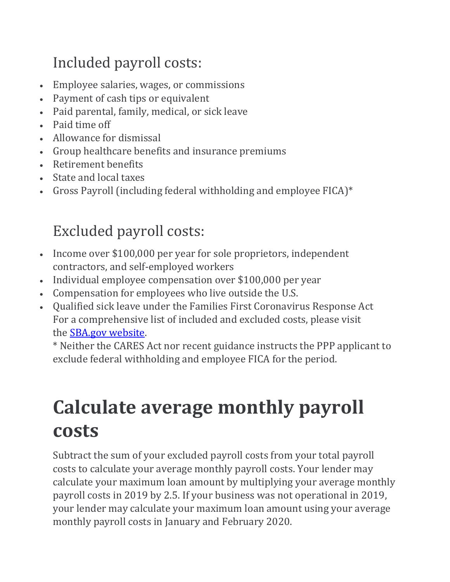### Included payroll costs:

- Employee salaries, wages, or commissions
- Payment of cash tips or equivalent
- Paid parental, family, medical, or sick leave
- Paid time off
- Allowance for dismissal
- Group healthcare benefits and insurance premiums
- Retirement benefits
- State and local taxes
- Gross Payroll (including federal withholding and employee FICA)\*

### Excluded payroll costs:

- Income over \$100,000 per year for sole proprietors, independent contractors, and self-employed workers
- Individual employee compensation over \$100,000 per year
- Compensation for employees who live outside the U.S.
- Qualified sick leave under the Families First Coronavirus Response Act For a comprehensive list of included and excluded costs, please visit the SBA.gov [website.](https://www.sba.gov/sites/default/files/articles/EIDL_and_P3_4.1.2020_FINAL_2pm.pdf)

\* Neither the CARES Act nor recent guidance instructs the PPP applicant to exclude federal withholding and employee FICA for the period.

## **Calculate average monthly payroll costs**

Subtract the sum of your excluded payroll costs from your total payroll costs to calculate your average monthly payroll costs. Your lender may calculate your maximum loan amount by multiplying your average monthly payroll costs in 2019 by 2.5. If your business was not operational in 2019, your lender may calculate your maximum loan amount using your average monthly payroll costs in January and February 2020.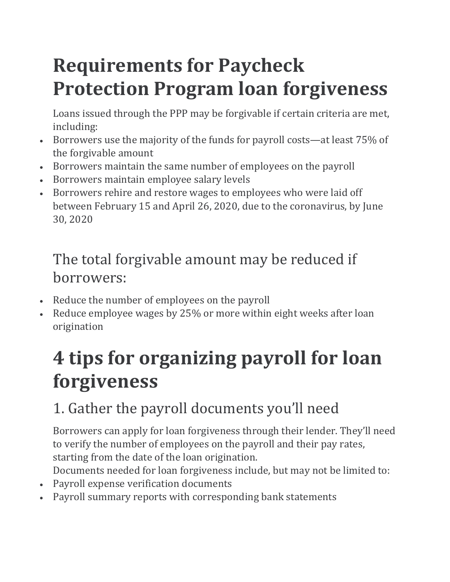# **Requirements for Paycheck Protection Program loan forgiveness**

Loans issued through the PPP may be forgivable if certain criteria are met, including:

- Borrowers use the majority of the funds for payroll costs—at least 75% of the forgivable amount
- Borrowers maintain the same number of employees on the payroll
- Borrowers maintain employee salary levels
- Borrowers rehire and restore wages to employees who were laid off between February 15 and April 26, 2020, due to the coronavirus, by June 30, 2020

#### The total forgivable amount may be reduced if borrowers:

- Reduce the number of employees on the payroll
- Reduce employee wages by 25% or more within eight weeks after loan origination

# **4 tips for organizing payroll for loan forgiveness**

### 1. Gather the payroll documents you'll need

Borrowers can apply for loan forgiveness through their lender. They'll need to verify the number of employees on the payroll and their pay rates, starting from the date of the loan origination.

Documents needed for loan forgiveness include, but may not be limited to:

- Payroll expense verification documents
- Payroll summary reports with corresponding bank statements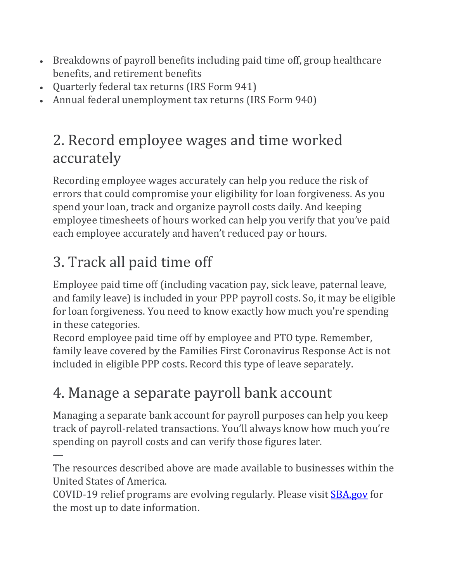- Breakdowns of payroll benefits including paid time off, group healthcare benefits, and retirement benefits
- Quarterly federal tax returns (IRS Form 941)
- Annual federal unemployment tax returns (IRS Form 940)

#### 2. Record employee wages and time worked accurately

Recording employee wages accurately can help you reduce the risk of errors that could compromise your eligibility for loan forgiveness. As you spend your loan, track and organize payroll costs daily. And keeping employee timesheets of hours worked can help you verify that you've paid each employee accurately and haven't reduced pay or hours.

### 3. Track all paid time off

Employee paid time off (including vacation pay, sick leave, paternal leave, and family leave) is included in your PPP payroll costs. So, it may be eligible for loan forgiveness. You need to know exactly how much you're spending in these categories.

Record employee paid time off by employee and PTO type. Remember, family leave covered by the Families First Coronavirus Response Act is not included in eligible PPP costs. Record this type of leave separately.

#### 4. Manage a separate payroll bank account

Managing a separate bank account for payroll purposes can help you keep track of payroll-related transactions. You'll always know how much you're spending on payroll costs and can verify those figures later.

— The resources described above are made available to businesses within the United States of America.

COVID-19 relief programs are evolving regularly. Please visit **[SBA.gov](https://www.sba.gov/)** for the most up to date information.